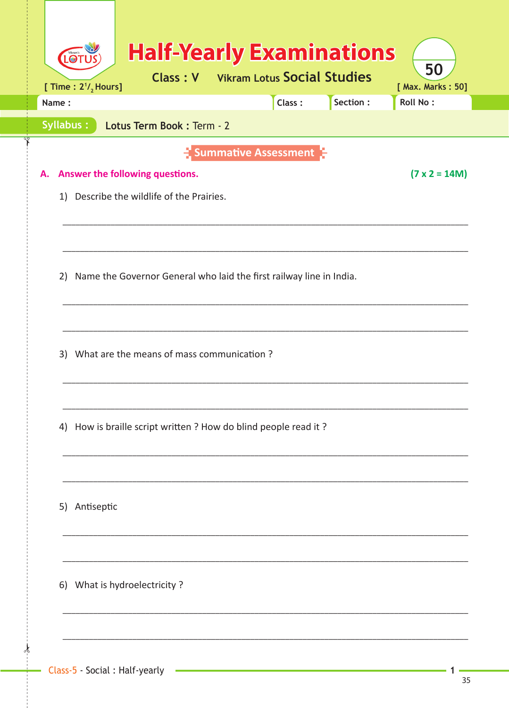| $\circ$<br>[ Time : $2^{1/2}$ Hours] | <b>Half-Yearly Examinations</b><br><b>Class: V</b> Vikram Lotus Social Studies |                        |        |          | 50<br>[ Max. Marks: 50] |
|--------------------------------------|--------------------------------------------------------------------------------|------------------------|--------|----------|-------------------------|
| Name:                                |                                                                                |                        | Class: | Section: | <b>Roll No:</b>         |
| Syllabus:                            | Lotus Term Book: Term - 2                                                      |                        |        |          |                         |
|                                      |                                                                                | - Summative Assessment |        |          |                         |
|                                      | A. Answer the following questions.                                             |                        |        |          | $(7 \times 2 = 14M)$    |
|                                      | 1) Describe the wildlife of the Prairies.                                      |                        |        |          |                         |
|                                      |                                                                                |                        |        |          |                         |
|                                      |                                                                                |                        |        |          |                         |
|                                      | 2) Name the Governor General who laid the first railway line in India.         |                        |        |          |                         |
|                                      |                                                                                |                        |        |          |                         |
|                                      |                                                                                |                        |        |          |                         |
|                                      |                                                                                |                        |        |          |                         |
|                                      | 3) What are the means of mass communication?                                   |                        |        |          |                         |
|                                      |                                                                                |                        |        |          |                         |
|                                      |                                                                                |                        |        |          |                         |
| 4)                                   | How is braille script written ? How do blind people read it ?                  |                        |        |          |                         |
|                                      |                                                                                |                        |        |          |                         |
|                                      |                                                                                |                        |        |          |                         |
| 5) Antiseptic                        |                                                                                |                        |        |          |                         |
|                                      |                                                                                |                        |        |          |                         |
|                                      |                                                                                |                        |        |          |                         |
|                                      | 6) What is hydroelectricity?                                                   |                        |        |          |                         |
|                                      |                                                                                |                        |        |          |                         |
|                                      |                                                                                |                        |        |          |                         |

 $\frac{1}{2}$ 

 $\mathbf{1}$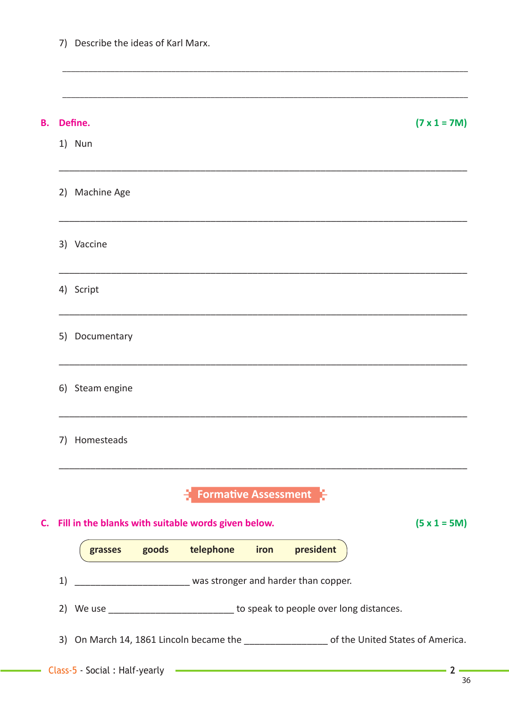| В. |    | Define.         |  |                                                                                   |      |           | $(7 \times 1 = 7M)$                                                                           |                |
|----|----|-----------------|--|-----------------------------------------------------------------------------------|------|-----------|-----------------------------------------------------------------------------------------------|----------------|
|    |    | 1) Nun          |  |                                                                                   |      |           |                                                                                               |                |
|    |    | 2) Machine Age  |  |                                                                                   |      |           |                                                                                               |                |
|    |    | 3) Vaccine      |  |                                                                                   |      |           |                                                                                               |                |
|    |    | 4) Script       |  |                                                                                   |      |           |                                                                                               |                |
|    | 5) | Documentary     |  |                                                                                   |      |           |                                                                                               |                |
|    |    | 6) Steam engine |  |                                                                                   |      |           |                                                                                               |                |
|    | 7) | Homesteads      |  |                                                                                   |      |           |                                                                                               |                |
|    |    |                 |  | <b>Formative Assessment</b>                                                       |      |           |                                                                                               |                |
| C. |    |                 |  | Fill in the blanks with suitable words given below.                               |      |           |                                                                                               | $(5 x 1 = 5M)$ |
|    |    |                 |  | grasses goods telephone                                                           | iron | president |                                                                                               |                |
|    | 1) |                 |  |                                                                                   |      |           |                                                                                               |                |
|    |    |                 |  | 2) We use _______________________________ to speak to people over long distances. |      |           |                                                                                               |                |
|    |    |                 |  |                                                                                   |      |           | 3) On March 14, 1861 Lincoln became the ____________________ of the United States of America. |                |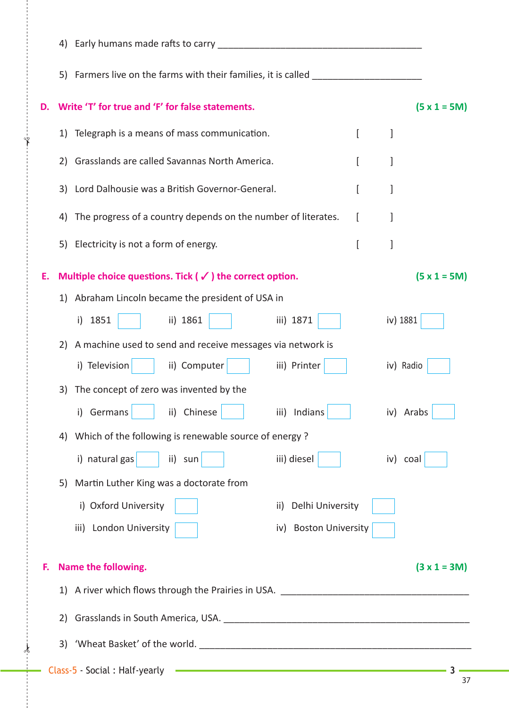|    | Early humans made rafts to carry<br>4)                               |                                                                                                                      |                |
|----|----------------------------------------------------------------------|----------------------------------------------------------------------------------------------------------------------|----------------|
|    | Farmers live on the farms with their families, it is called<br>5)    |                                                                                                                      |                |
| D. | Write 'T' for true and 'F' for false statements.                     |                                                                                                                      | $(5 x 1 = 5M)$ |
|    | Telegraph is a means of mass communication.<br>1)                    | $\left[ \right]$                                                                                                     | 1              |
|    | Grasslands are called Savannas North America.<br>2)                  | ſ                                                                                                                    |                |
|    | Lord Dalhousie was a British Governor-General.<br>3)                 | L                                                                                                                    | 1              |
|    | The progress of a country depends on the number of literates.<br>4)  | L                                                                                                                    |                |
|    | Electricity is not a form of energy.<br>5)                           | ſ                                                                                                                    | 1              |
| Ε. | Multiple choice questions. Tick ( $\checkmark$ ) the correct option. |                                                                                                                      | $(5 x 1 = 5M)$ |
|    | 1) Abraham Lincoln became the president of USA in                    |                                                                                                                      |                |
|    | i) 1851<br>ii) 1861                                                  | iii) 1871                                                                                                            | iv) 1881       |
|    |                                                                      |                                                                                                                      |                |
|    | A machine used to send and receive messages via network is<br>2)     |                                                                                                                      |                |
|    | i) Television<br>ii) Computer                                        | iii) Printer                                                                                                         | iv) Radio      |
|    | The concept of zero was invented by the<br>3)                        |                                                                                                                      |                |
|    | Germans<br>ii) Chinese<br>i)                                         | iii) Indians                                                                                                         | iv) Arabs      |
|    | 4) Which of the following is renewable source of energy?             |                                                                                                                      |                |
|    | i) natural gas<br>ii) sun                                            | iii) diesel                                                                                                          | iv) coal       |
|    | Martin Luther King was a doctorate from<br>5)                        |                                                                                                                      |                |
|    | i) Oxford University                                                 | ii) Delhi University                                                                                                 |                |
|    | iii) London University                                               | iv) Boston University                                                                                                |                |
| F. | Name the following.                                                  |                                                                                                                      | $(3 x 1 = 3M)$ |
|    |                                                                      |                                                                                                                      |                |
|    |                                                                      |                                                                                                                      |                |
|    | 2)                                                                   |                                                                                                                      |                |
|    |                                                                      |                                                                                                                      |                |
|    | Class-5 - Social : Half-yearly                                       | <u> 1989 - Johann Stein, marwolaethau a bhann an t-Amhain an t-Amhain an t-Amhain an t-Amhain an t-Amhain an t-A</u> | 37             |

✁

✁